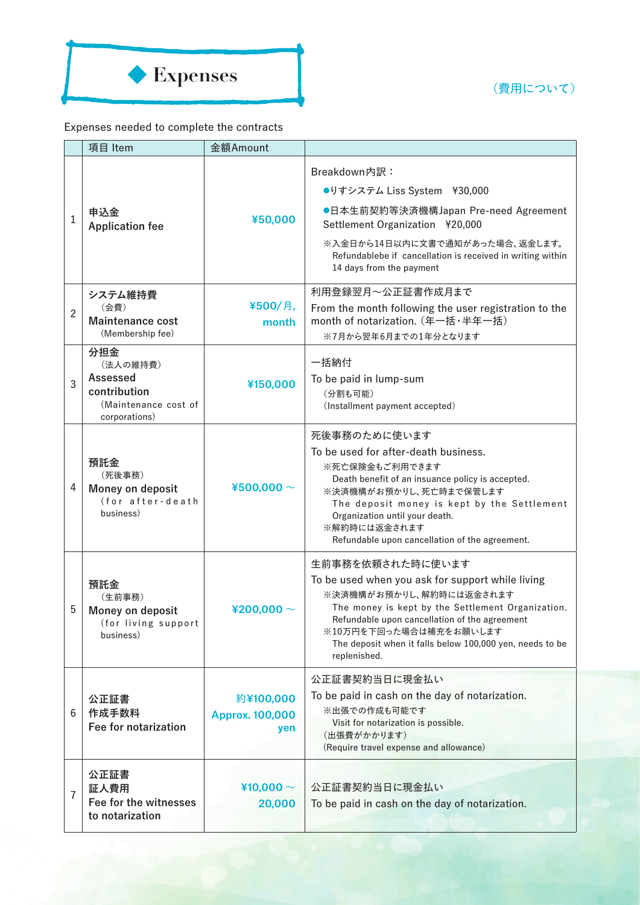(費用について)



## Expenses needed to complete the contracts

|                | 項目 Item                                                                              | 金額Amount                                   |                                                                                                                                                                                                                                                                                                             |
|----------------|--------------------------------------------------------------------------------------|--------------------------------------------|-------------------------------------------------------------------------------------------------------------------------------------------------------------------------------------------------------------------------------------------------------------------------------------------------------------|
| 1              | 申込金<br><b>Application fee</b>                                                        | ¥50,000                                    | Breakdown内訳:<br>●りすシステム Liss System ¥30,000<br>●日本生前契約等決済機構Japan Pre-need Agreement<br>Settlement Organization ¥20,000<br>※入金日から14日以内に文書で通知があった場合、返金します。<br>Refundablebe if cancellation is received in writing within<br>14 days from the payment                                                          |
| $\overline{2}$ | システム維持費<br>(会費)<br><b>Maintenance cost</b><br>(Membership fee)                       | ¥500/月,<br>month                           | 利用登録翌月~公正証書作成月まで<br>From the month following the user registration to the<br>month of notarization. (年一括·半年一括)<br>※7月から翌年6月までの1年分となります                                                                                                                                                                      |
| 3              | 分担金<br>(法人の維持費)<br>Assessed<br>contribution<br>(Maintenance cost of<br>corporations) | ¥150,000                                   | 一括納付<br>To be paid in lump-sum<br>(分割も可能)<br>(Installment payment accepted)                                                                                                                                                                                                                                 |
| 4              | 預託金<br>(死後事務)<br>Money on deposit<br>(for after-death<br>business)                   | ¥500,000 $\sim$                            | 死後事務のために使います<br>To be used for after-death business.<br>※死亡保険金もご利用できます<br>Death benefit of an insuance policy is accepted.<br>※決済機構がお預かりし、死亡時まで保管します<br>The deposit money is kept by the Settlement<br>Organization until your death.<br>※解約時には返金されます<br>Refundable upon cancellation of the agreement.     |
| 5              | 預託金<br>(生前事務)<br>Money on deposit<br>(for living support<br>business)                | ¥200,000 $\sim$                            | 生前事務を依頼された時に使います<br>To be used when you ask for support while living<br>※決済機構がお預かりし、解約時には返金されます<br>The money is kept by the Settlement Organization.<br>Refundable upon cancellation of the agreement<br>※10万円を下回った場合は補充をお願いします<br>The deposit when it falls below 100,000 yen, needs to be<br>replenished. |
| 6              | 公正証書<br>作成手数料<br>Fee for notarization                                                | 約¥100,000<br><b>Approx. 100,000</b><br>yen | 公正証書契約当日に現金払い<br>To be paid in cash on the day of notarization.<br>※出張での作成も可能です<br>Visit for notarization is possible.<br>(出張費がかかります)<br>(Require travel expense and allowance)                                                                                                                             |
| $\overline{7}$ | 公正証書<br>証人費用<br>Fee for the witnesses<br>to notarization                             | ¥10,000 $\sim$<br>20,000                   | 公正証書契約当日に現金払い<br>To be paid in cash on the day of notarization.                                                                                                                                                                                                                                             |